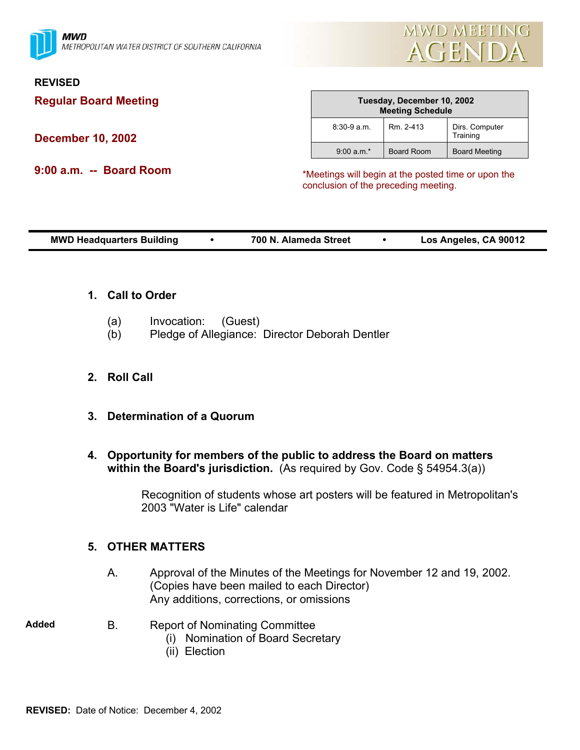

#### **REVISED**

**Regular Board Meeting** 

**December 10, 2002** 

**9:00 a.m. -- Board Room** 

| Tuesday, December 10, 2002<br><b>Meeting Schedule</b> |                   |                            |
|-------------------------------------------------------|-------------------|----------------------------|
| $8:30-9a$ m.                                          | Rm. 2-413         | Dirs. Computer<br>Training |
| $9:00 a.m.*$                                          | <b>Board Room</b> | <b>Board Meeting</b>       |

\*Meetings will begin at the posted time or upon the conclusion of the preceding meeting.

|--|

- **1. Call to Order**
	- (a) Invocation: (Guest)
	- (b) Pledge of Allegiance: Director Deborah Dentler
- **2. Roll Call**
- **3. Determination of a Quorum**
- **4. Opportunity for members of the public to address the Board on matters within the Board's jurisdiction.** (As required by Gov. Code § 54954.3(a))

Recognition of students whose art posters will be featured in Metropolitan's 2003 "Water is Life" calendar

## **5. OTHER MATTERS**

- A. Approval of the Minutes of the Meetings for November 12 and 19, 2002. (Copies have been mailed to each Director) Any additions, corrections, or omissions
- 
- **Added** B. Report of Nominating Committee
	- (i) Nomination of Board Secretary
	- (ii) Election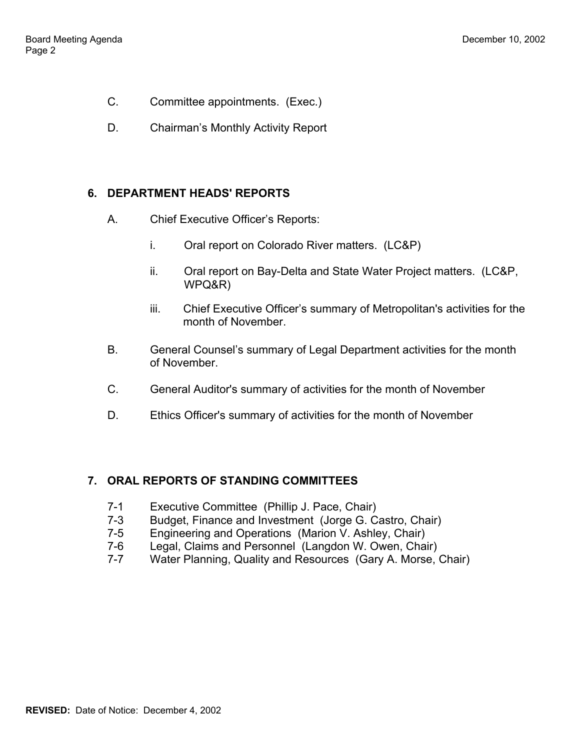- C. Committee appointments. (Exec.)
- D. Chairman's Monthly Activity Report

## **6. DEPARTMENT HEADS' REPORTS**

- A. Chief Executive Officer's Reports:
	- i. Oral report on Colorado River matters. (LC&P)
	- ii. Oral report on Bay-Delta and State Water Project matters. (LC&P, WPQ&R)
	- iii. Chief Executive Officer's summary of Metropolitan's activities for the month of November.
- B. General Counsel's summary of Legal Department activities for the month of November.
- C. General Auditor's summary of activities for the month of November
- D. Ethics Officer's summary of activities for the month of November

# **7. ORAL REPORTS OF STANDING COMMITTEES**

- 7-1 Executive Committee (Phillip J. Pace, Chair)
- 7-3 Budget, Finance and Investment (Jorge G. Castro, Chair)
- 7-5 Engineering and Operations (Marion V. Ashley, Chair)
- 7-6 Legal, Claims and Personnel (Langdon W. Owen, Chair)
- 7-7 Water Planning, Quality and Resources (Gary A. Morse, Chair)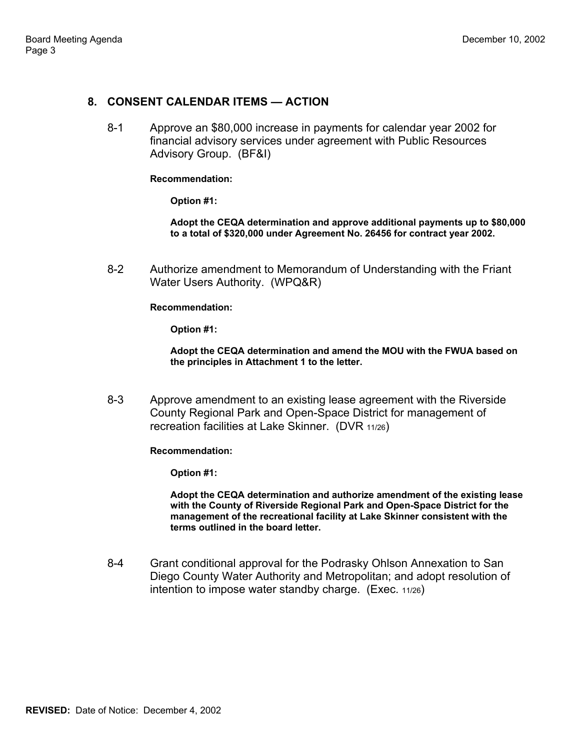#### **8. CONSENT CALENDAR ITEMS — ACTION**

8-1 Approve an \$80,000 increase in payments for calendar year 2002 for financial advisory services under agreement with Public Resources Advisory Group. (BF&I)

#### **Recommendation:**

**Option #1:** 

**Adopt the CEQA determination and approve additional payments up to \$80,000 to a total of \$320,000 under Agreement No. 26456 for contract year 2002.** 

8-2 Authorize amendment to Memorandum of Understanding with the Friant Water Users Authority. (WPQ&R)

**Recommendation:** 

**Option #1:** 

**Adopt the CEQA determination and amend the MOU with the FWUA based on the principles in Attachment 1 to the letter.** 

8-3 Approve amendment to an existing lease agreement with the Riverside County Regional Park and Open-Space District for management of recreation facilities at Lake Skinner. (DVR 11/26)

**Recommendation:** 

**Option #1:** 

**Adopt the CEQA determination and authorize amendment of the existing lease with the County of Riverside Regional Park and Open-Space District for the management of the recreational facility at Lake Skinner consistent with the terms outlined in the board letter.** 

8-4 Grant conditional approval for the Podrasky Ohlson Annexation to San Diego County Water Authority and Metropolitan; and adopt resolution of intention to impose water standby charge. (Exec. 11/26)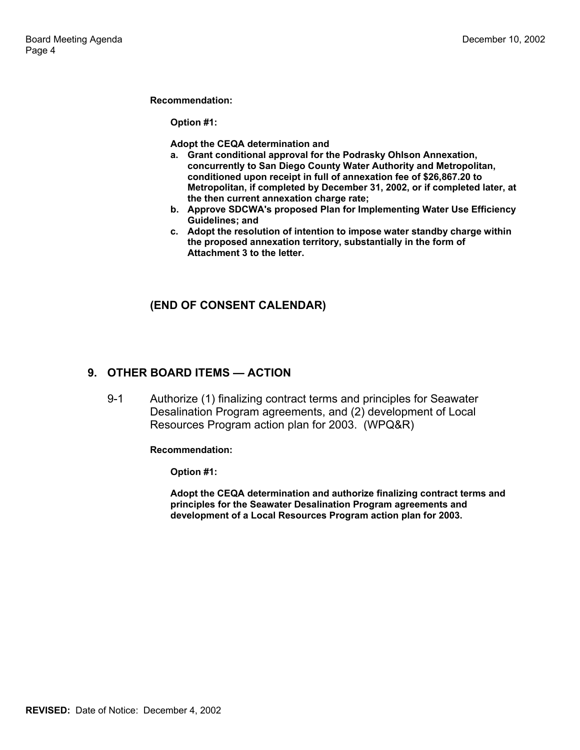**Recommendation:** 

**Option #1:** 

**Adopt the CEQA determination and** 

- **a. Grant conditional approval for the Podrasky Ohlson Annexation, concurrently to San Diego County Water Authority and Metropolitan, conditioned upon receipt in full of annexation fee of \$26,867.20 to Metropolitan, if completed by December 31, 2002, or if completed later, at the then current annexation charge rate;**
- **b. Approve SDCWA's proposed Plan for Implementing Water Use Efficiency Guidelines; and**
- **c. Adopt the resolution of intention to impose water standby charge within the proposed annexation territory, substantially in the form of Attachment 3 to the letter.**

#### **(END OF CONSENT CALENDAR)**

#### **9. OTHER BOARD ITEMS — ACTION**

9-1 Authorize (1) finalizing contract terms and principles for Seawater Desalination Program agreements, and (2) development of Local Resources Program action plan for 2003. (WPQ&R)

**Recommendation:** 

**Option #1:** 

**Adopt the CEQA determination and authorize finalizing contract terms and principles for the Seawater Desalination Program agreements and development of a Local Resources Program action plan for 2003.**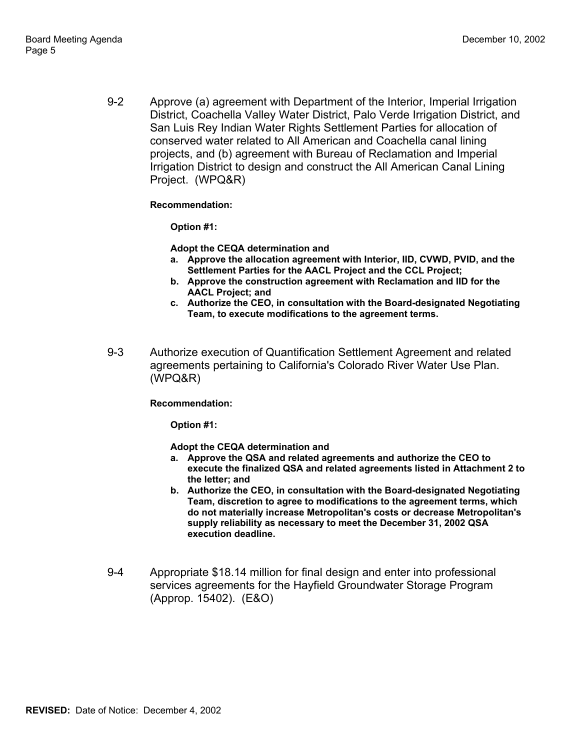9-2 Approve (a) agreement with Department of the Interior, Imperial Irrigation District, Coachella Valley Water District, Palo Verde Irrigation District, and San Luis Rey Indian Water Rights Settlement Parties for allocation of conserved water related to All American and Coachella canal lining projects, and (b) agreement with Bureau of Reclamation and Imperial Irrigation District to design and construct the All American Canal Lining Project. (WPQ&R)

**Recommendation:** 

**Option #1:** 

**Adopt the CEQA determination and** 

- **a. Approve the allocation agreement with Interior, IID, CVWD, PVID, and the Settlement Parties for the AACL Project and the CCL Project;**
- **b. Approve the construction agreement with Reclamation and IID for the AACL Project; and**
- **c. Authorize the CEO, in consultation with the Board-designated Negotiating Team, to execute modifications to the agreement terms.**
- 9-3 Authorize execution of Quantification Settlement Agreement and related agreements pertaining to California's Colorado River Water Use Plan. (WPQ&R)

#### **Recommendation:**

**Option #1:** 

**Adopt the CEQA determination and** 

- **a. Approve the QSA and related agreements and authorize the CEO to execute the finalized QSA and related agreements listed in Attachment 2 to the letter; and**
- **b. Authorize the CEO, in consultation with the Board-designated Negotiating Team, discretion to agree to modifications to the agreement terms, which do not materially increase Metropolitan's costs or decrease Metropolitan's supply reliability as necessary to meet the December 31, 2002 QSA execution deadline.**
- 9-4 Appropriate \$18.14 million for final design and enter into professional services agreements for the Hayfield Groundwater Storage Program (Approp. 15402). (E&O)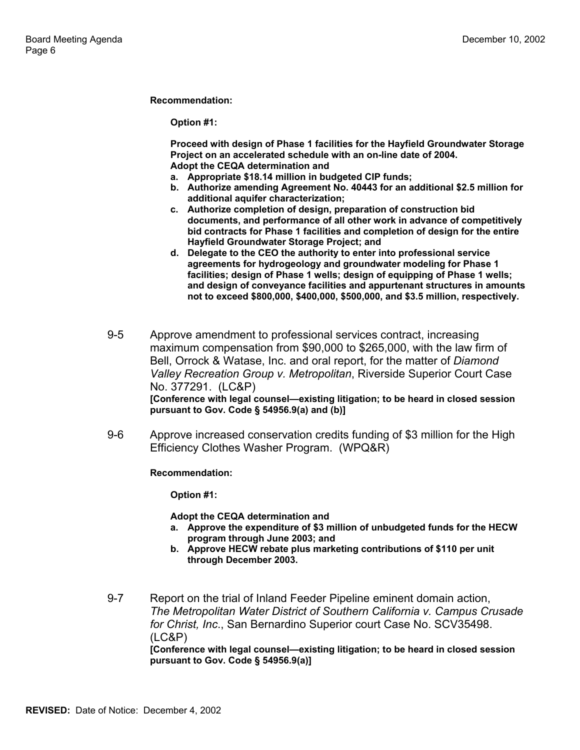**Recommendation:** 

**Option #1:** 

**Proceed with design of Phase 1 facilities for the Hayfield Groundwater Storage Project on an accelerated schedule with an on-line date of 2004. Adopt the CEQA determination and** 

- **a. Appropriate \$18.14 million in budgeted CIP funds;**
- **b. Authorize amending Agreement No. 40443 for an additional \$2.5 million for additional aquifer characterization;**
- **c. Authorize completion of design, preparation of construction bid documents, and performance of all other work in advance of competitively bid contracts for Phase 1 facilities and completion of design for the entire Hayfield Groundwater Storage Project; and**
- **d. Delegate to the CEO the authority to enter into professional service agreements for hydrogeology and groundwater modeling for Phase 1 facilities; design of Phase 1 wells; design of equipping of Phase 1 wells; and design of conveyance facilities and appurtenant structures in amounts not to exceed \$800,000, \$400,000, \$500,000, and \$3.5 million, respectively.**
- 9-5 Approve amendment to professional services contract, increasing maximum compensation from \$90,000 to \$265,000, with the law firm of Bell, Orrock & Watase, Inc. and oral report, for the matter of *Diamond Valley Recreation Group v. Metropolitan*, Riverside Superior Court Case No. 377291. (LC&P) **[Conference with legal counsel—existing litigation; to be heard in closed session pursuant to Gov. Code § 54956.9(a) and (b)]**
- 9-6 Approve increased conservation credits funding of \$3 million for the High Efficiency Clothes Washer Program. (WPQ&R)

**Recommendation:** 

**Option #1:** 

**Adopt the CEQA determination and** 

- **a. Approve the expenditure of \$3 million of unbudgeted funds for the HECW program through June 2003; and**
- **b. Approve HECW rebate plus marketing contributions of \$110 per unit through December 2003.**
- 9-7 Report on the trial of Inland Feeder Pipeline eminent domain action, *The Metropolitan Water District of Southern California v. Campus Crusade for Christ, Inc*., San Bernardino Superior court Case No. SCV35498. (LC&P)

**[Conference with legal counsel—existing litigation; to be heard in closed session pursuant to Gov. Code § 54956.9(a)]**